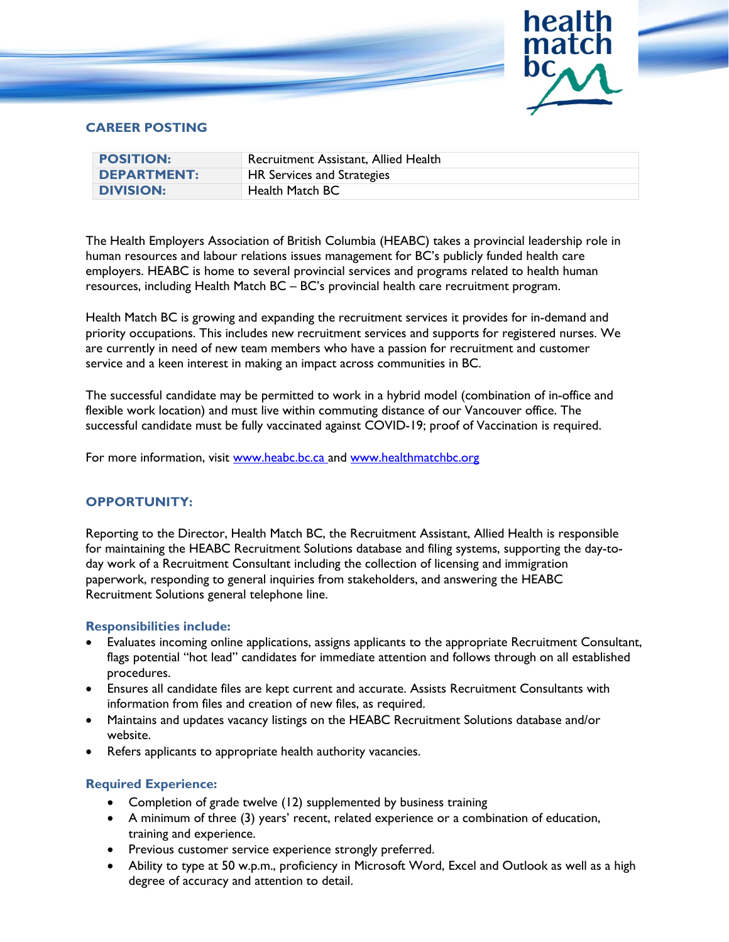

# **CAREER POSTING**

| <b>POSITION:</b>   | Recruitment Assistant, Allied Health |
|--------------------|--------------------------------------|
| <b>DEPARTMENT:</b> | HR Services and Strategies           |
| <b>DIVISION:</b>   | Health Match BC                      |

The Health Employers Association of British Columbia (HEABC) takes a provincial leadership role in human resources and labour relations issues management for BC's publicly funded health care employers. HEABC is home to several provincial services and programs related to health human resources, including Health Match BC – BC's provincial health care recruitment program.

Health Match BC is growing and expanding the recruitment services it provides for in-demand and priority occupations. This includes new recruitment services and supports for registered nurses. We are currently in need of new team members who have a passion for recruitment and customer service and a keen interest in making an impact across communities in BC.

The successful candidate may be permitted to work in a hybrid model (combination of in-office and flexible work location) and must live within commuting distance of our Vancouver office. The successful candidate must be fully vaccinated against COVID-19; proof of Vaccination is required.

For more information, visit [www.heabc.bc.ca](http://www.heabc.bc.ca/) and [www.healthmatchbc.org](http://www.healthmatchbc.org/)

## **OPPORTUNITY:**

Reporting to the Director, Health Match BC, the Recruitment Assistant, Allied Health is responsible for maintaining the HEABC Recruitment Solutions database and filing systems, supporting the day-today work of a Recruitment Consultant including the collection of licensing and immigration paperwork, responding to general inquiries from stakeholders, and answering the HEABC Recruitment Solutions general telephone line.

## **Responsibilities include:**

- Evaluates incoming online applications, assigns applicants to the appropriate Recruitment Consultant, flags potential "hot lead" candidates for immediate attention and follows through on all established procedures.
- Ensures all candidate files are kept current and accurate. Assists Recruitment Consultants with information from files and creation of new files, as required.
- Maintains and updates vacancy listings on the HEABC Recruitment Solutions database and/or website.
- Refers applicants to appropriate health authority vacancies.

## **Required Experience:**

- Completion of grade twelve (12) supplemented by business training
- A minimum of three (3) years' recent, related experience or a combination of education, training and experience.
- Previous customer service experience strongly preferred.
- Ability to type at 50 w.p.m., proficiency in Microsoft Word, Excel and Outlook as well as a high degree of accuracy and attention to detail.